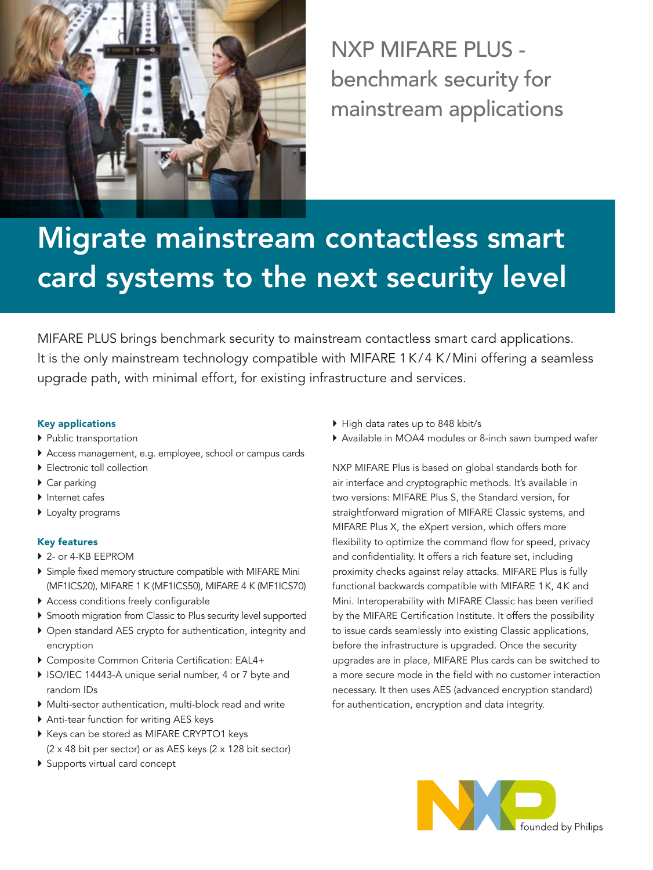

NXP MIFARE PLUS benchmark security for mainstream applications

# Migrate mainstream contactless smart card systems to the next security level

MIFARE PLUS brings benchmark security to mainstream contactless smart card applications. It is the only mainstream technology compatible with MIFARE 1K/4 K/Mini offering a seamless upgrade path, with minimal effort, for existing infrastructure and services.

# Key applications

- } Public transportation
- } Access management, e.g. employee, school or campus cards
- **Electronic toll collection**
- ▶ Car parking
- } Internet cafes
- ▶ Loyalty programs

## Key features

- ▶ 2- or 4-KB EEPROM
- } Simple fixed memory structure compatible with MIFARE Mini (MF1ICS20), MIFARE 1 K (MF1ICS50), MIFARE 4 K (MF1ICS70)
- } Access conditions freely configurable
- } Smooth migration from Classic to Plus security level supported
- } Open standard AES crypto for authentication, integrity and encryption
- } Composite Common Criteria Certification: EAL4+
- ▶ ISO/IEC 14443-A unique serial number, 4 or 7 byte and random IDs
- } Multi-sector authentication, multi-block read and write
- } Anti-tear function for writing AES keys
- } Keys can be stored as MIFARE CRYPTO1 keys (2 x 48 bit per sector) or as AES keys (2 x 128 bit sector)
- } Supports virtual card concept
- } High data rates up to 848 kbit/s
- } Available in MOA4 modules or 8-inch sawn bumped wafer

NXP MIFARE Plus is based on global standards both for air interface and cryptographic methods. It's available in two versions: MIFARE Plus S, the Standard version, for straightforward migration of MIFARE Classic systems, and MIFARE Plus X, the eXpert version, which offers more flexibility to optimize the command flow for speed, privacy and confidentiality. It offers a rich feature set, including proximity checks against relay attacks. MIFARE Plus is fully functional backwards compatible with MIFARE 1K, 4k and Mini. Interoperability with MIFARE Classic has been verified by the MIFARE Certification Institute. It offers the possibility to issue cards seamlessly into existing Classic applications, before the infrastructure is upgraded. Once the security upgrades are in place, MIFARE Plus cards can be switched to a more secure mode in the field with no customer interaction necessary. It then uses AES (advanced encryption standard) for authentication, encryption and data integrity.